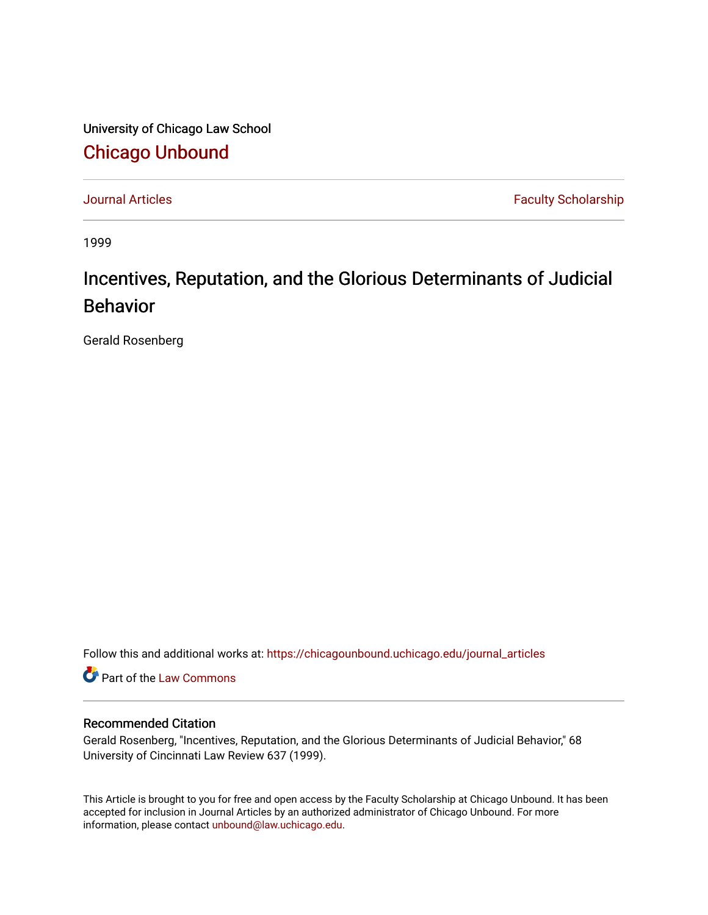University of Chicago Law School [Chicago Unbound](https://chicagounbound.uchicago.edu/)

[Journal Articles](https://chicagounbound.uchicago.edu/journal_articles) **Faculty Scholarship Journal Articles** 

1999

# Incentives, Reputation, and the Glorious Determinants of Judicial Behavior

Gerald Rosenberg

Follow this and additional works at: [https://chicagounbound.uchicago.edu/journal\\_articles](https://chicagounbound.uchicago.edu/journal_articles?utm_source=chicagounbound.uchicago.edu%2Fjournal_articles%2F1919&utm_medium=PDF&utm_campaign=PDFCoverPages) 

Part of the [Law Commons](http://network.bepress.com/hgg/discipline/578?utm_source=chicagounbound.uchicago.edu%2Fjournal_articles%2F1919&utm_medium=PDF&utm_campaign=PDFCoverPages)

## Recommended Citation

Gerald Rosenberg, "Incentives, Reputation, and the Glorious Determinants of Judicial Behavior," 68 University of Cincinnati Law Review 637 (1999).

This Article is brought to you for free and open access by the Faculty Scholarship at Chicago Unbound. It has been accepted for inclusion in Journal Articles by an authorized administrator of Chicago Unbound. For more information, please contact [unbound@law.uchicago.edu](mailto:unbound@law.uchicago.edu).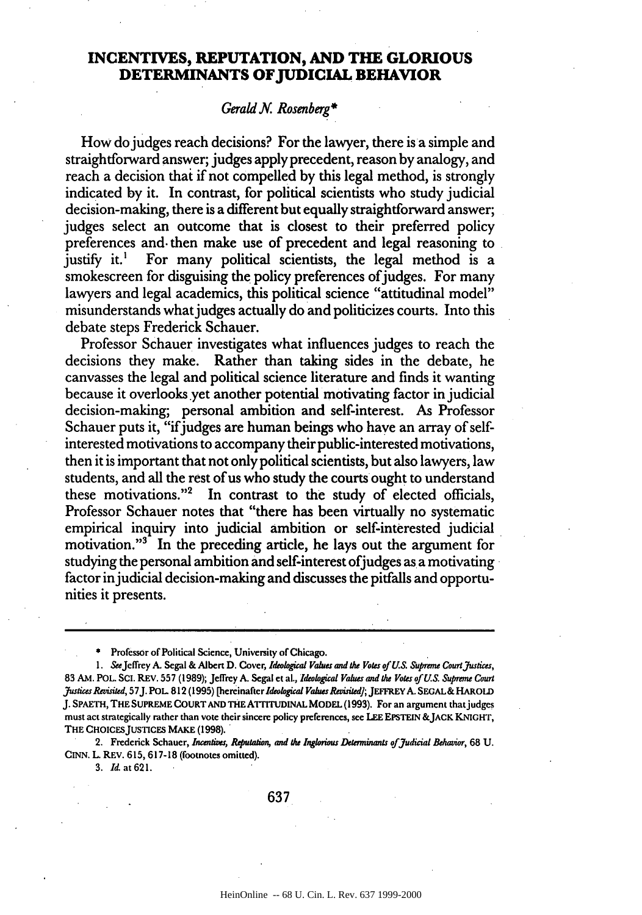# **INCENTIVES, REPUTATION, AND THE GLORIOUS DETERMINANTS OF JUDICIAL BEHAVIOR**

#### *Gerald N. Rosenberg\**

How do judges reach decisions? For the lawyer, there is a simple and straightforward answer; judges apply precedent, reason by analogy, and reach a decision that if not compelled by this legal method, is strongly indicated by it. In contrast, for political scientists who study judicial decision-making, there is a different but equally straightforward answer; judges select an outcome that is closest to their preferred policy preferences and. then make use of precedent and legal reasoning to justify it.<sup>1</sup> For many political scientists, the legal method is a smokescreen for disguising the policy preferences of judges. For many lawyers and legal academics, this political science "attitudinal model" misunderstands what judges actually do and politicizes courts. Into this debate steps Frederick Schauer.

Professor Schauer investigates what influences judges to reach the decisions they make. Rather than taking sides in the debate, he canvasses the legal and political science literature and finds it wanting because it overlooks yet another potential motivating factor in judicial decision-making; personal ambition and self-interest. As Professor Schauer puts it, "if judges are human beings who have an array of selfinterested motivations to accompany their public-interested motivations, then it is important that not only political scientists, but also lawyers, law students, and all the rest of us who study the courts ought to understand these motivations."2 In contrast to the study of elected officials, Professor Schauer notes that "there has been virtually no systematic empirical inquiry into judicial ambition or self-interested judicial motivation."<sup>3</sup> In the preceding article, he lays out the argument for studying the personal ambition and self-interest of judges as a motivating factor injudicial decision-making and discusses the pitfalls and opportunities it presents.

**\*** Professor of Political Science, University of Chicago.

1. SeeJeffrey A. Segal **&** Albert **D.** Cover, *Ideological Values and the* Voes of **US.** *Supreme Courtj ustices,* 83 AM. POL. SCI. REV. 557 (1989); Jeffrey A. Segal et al., *Ideological Values and the Votes of U.S.* Supreme *Court Jausices Revisited,* 57J. POL 812 (1995) [hereinafter *ldeological Valus wisited];* JEFFREY A. **SECAL&** HAROLD J. **SPAETH,** THE **SUPREME COURT AND THE ATrrruDINAL** MODEL (1993). For an argument thatjudges must act strategically rather than vote their sincere policy preferences, see **LEE EPSTEIN** &JACK KNIGHT, THE CHOICES JUSTICES MAKE (1998).

2. Frederick Schauer, *Incenies, Reputation, and the Inglorious Deteminants of Judicial Behavior,* 68 U. **CINN.** L REV. 615, 617-18 (footnotes omitted).

3. *Id.* at 621.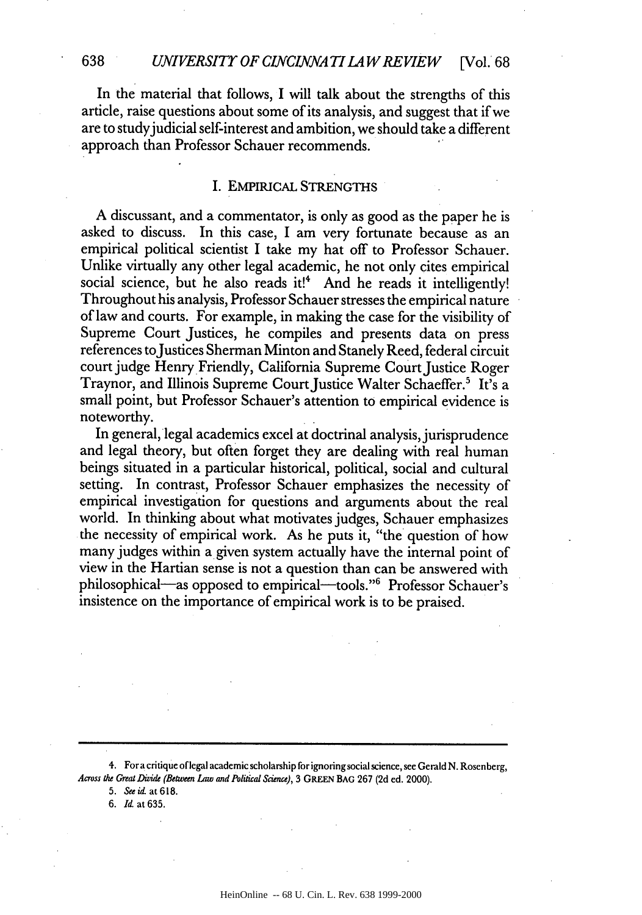#### *UNIVERSITY OF CIVCINNA TILA WREVIEW* [Vol. 68

In the material that follows, I will talk about the strengths of this article, raise questions about some of its analysis, and suggest that if we are to study judicial self-interest and ambition, we should take a different approach than Professor Schauer recommends.

#### I. **EMPIRICAL** STRENGTHS

A discussant, and a commentator, is only as good as the paper he is asked to discuss. In this case, I am very fortunate because as an empirical political scientist I take my hat off to Professor Schauer. Unlike virtually any other legal academic, he not only cites empirical social science, but he also reads it!<sup>4</sup> And he reads it intelligently! Throughout his analysis, Professor Schauer stresses the empirical nature of law and courts. For example, in making the case for the visibility of Supreme Court Justices, he compiles and presents data on press references to Justices Sherman Minton and Stanely Reed, federal circuit court judge Henry Friendly, California Supreme Court Justice Roger Traynor, and Illinois Supreme Court Justice Walter Schaeffer.<sup>5</sup> It's a small point, but Professor Schauer's attention to empirical evidence is noteworthy.

In general, legal academics excel at doctrinal analysis, jurisprudence and legal theory, but often forget they are dealing with real human beings situated in a particular historical, political, social and cultural setting. In contrast, Professor Schauer emphasizes the necessity of empirical investigation for questions and arguments about the real world. In thinking about what motivates judges, Schauer emphasizes the necessity of empirical work. As he puts it, "the question of how many judges within a given system actually have the internal point of view in the Hartian sense is not a question than can be answered with philosophical-as opposed to empirical-tools."<sup>6</sup> Professor Schauer's insistence on the importance of empirical work is to be praised.

4. **For** a critique **of legal** academic scholarship for ignoring social science, see Gerald **N.** Rosenberg, *Across the Great Divide (Between* law *and Political Science),* **3 GREEN BAG 267 (2d ed.** 2000).

**5.** *See id.* at **618.**

**6.** Id. at **635.**

**638**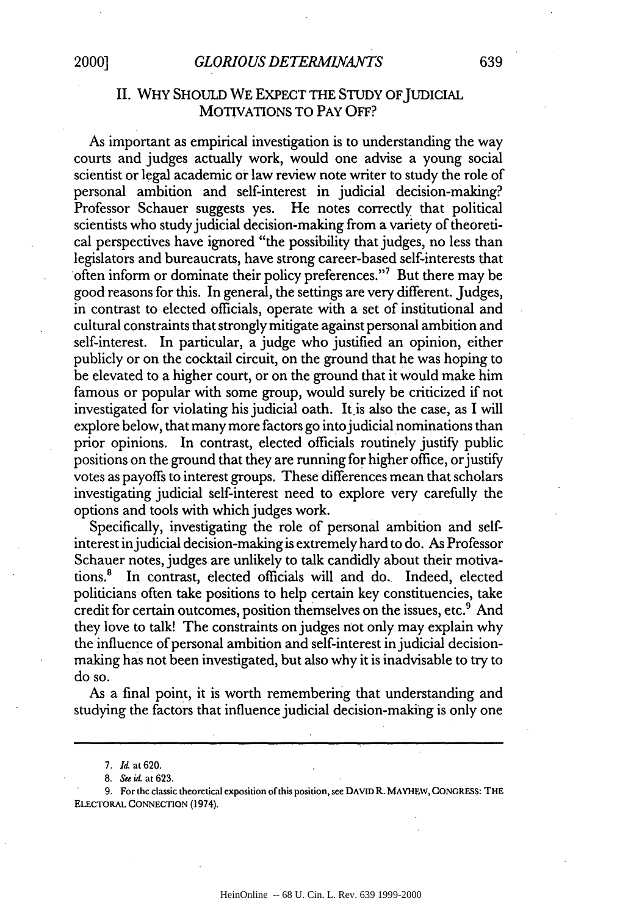# *GLORIOUS DETERM1.NA]NTS* **2000] 639**

# II. WHY SHOULD WE EXPECT THE STUDY OF JUDICIAL MOTIVATIONS TO PAY OFF?

As important as empirical investigation is to understanding the way courts and judges actually work, would one advise a young social scientist or legal academic or law review note writer to study the role of personal ambition and self-interest in judicial decision-making? Professor Schauer suggests yes. He notes correctly that political scientists who study judicial decision-making from a variety of theoretical perspectives have ignored "the possibility that judges, no less than legislators and bureaucrats, have strong career-based self-interests that often inform or dominate their policy preferences."7 But there may be good reasons for this. In general, the settings are very different. Judges, in contrast to elected officials, operate with a set of institutional and cultural constraints that strongly mitigate against personal ambition and self-interest. In particular, a judge who justified an opinion, either publicly or on the cocktail circuit, on the ground that he was hoping to be elevated to a higher court, or on the ground that it would make him famous or popular with some group, would surely be criticized if not investigated for violating his judicial oath. It.is also the case, as **I** will explore below, that many more factors go into judicial nominations than prior opinions. In contrast, elected officials routinely justify public positions on the ground that they are running for higher office, or justify votes as payoffs to interest groups. These differences mean that scholars investigating judicial self-interest need to explore very carefully the options and tools with which judges work.

Specifically, investigating the role of personal ambition and selfinterest in judicial decision-making is extremely hard to do. As Professor Schauer notes, judges are unlikely to talk candidly about their motivations.8 In contrast, elected officials will and do. Indeed, elected politicians often take positions to help certain key constituencies, take credit for certain outcomes, position themselves on the issues, etc.<sup>9</sup> And they love to talk! The constraints on judges not only may explain why the influence of personal ambition and self-interest in judicial decisionmaking has not been investigated, but also why it is inadvisable to try to do so.

As a final point, it is worth remembering that understanding and studying the factors that influence judicial decision-making is only one

*<sup>7.</sup> Id.* at **620.**

<sup>8.</sup> *See id.* at 623.

<sup>9.</sup> For the classic theoretical exposition of this position, see **DAVID** R. MAYHEW, CONGRESS: THE ELECTORAL CONNECTION (1974).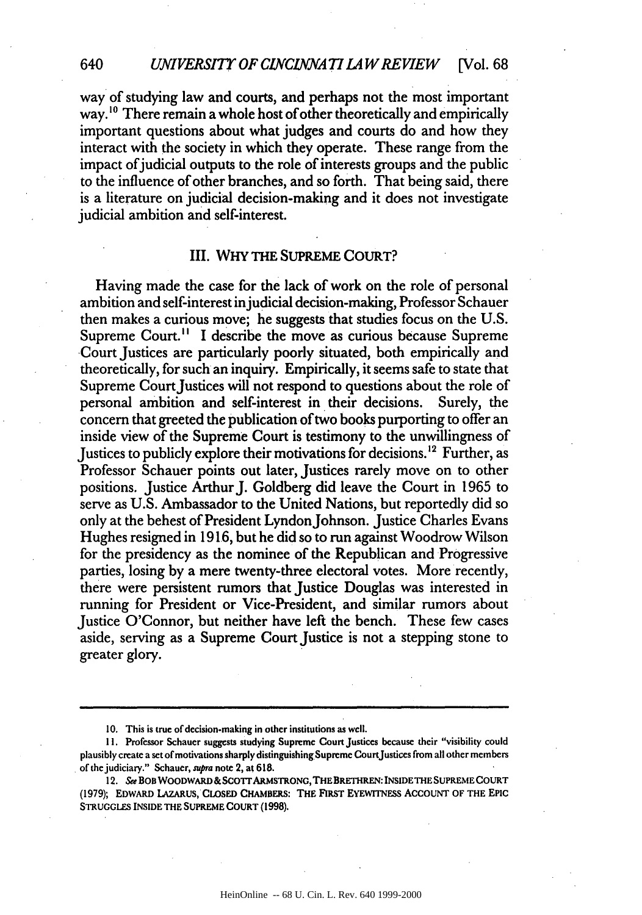way of studying law and courts, and perhaps not the most important way.<sup>10</sup> There remain a whole host of other theoretically and empirically important questions about what judges and courts do and how they interact with the society in which they operate. These range from the impact of judicial outputs to the role of interests groups and the public to the influence of other branches, and so forth. That being said, there is a literature on judicial decision-making and it does not investigate judicial ambition and self-interest.

#### III. WHY THE SUPREME COURT?

Having made the case for the lack of work on the role of personal ambition and self-interest injudicial decision-making, Professor Schauer then makes a curious move; he suggests that studies focus on the **U.S.** Supreme Court.<sup>11</sup> I describe the move as curious because Supreme Court Justices are particularly poorly situated, both empirically and theoretically, for such an inquiry. Empirically, it seems safe to state that Supreme Court Justices will not respond to questions about the role of personal ambition and self-interest in their decisions. Surely, the concern that greeted the publication of two books **purporting to** offer an inside view of the Supreme Court is testimony to the unwillingness of Justices to publicly explore their motivations for decisions.<sup>12</sup> Further, as Professor Schauer points out later, Justices rarely move on to other positions. Justice Arthur J. Goldberg did leave the Court in 1965 to serve as U.S. Ambassador to the United Nations, but reportedly did so only at the behest of President Lyndon Johnson. Justice Charles Evans Hughes resigned in 1916, but he did so to run against Woodrow Wilson for the presidency as the nominee of the Republican and Progressive parties, losing by a mere twenty-three electoral votes. More recently, there were persistent rumors that Justice Douglas was interested in running for President or Vice-President, and similar rumors about Justice O'Connor, but neither have left the bench. These few cases aside, serving as a Supreme Court Justice is not a stepping stone to greater glory.

640

<sup>10.</sup> This is true of decision-making in other institutions as well.

**<sup>11.</sup>** Professor Schauer suggests studying Supreme Court Justices because their "visibility could plausibly create a set of motivations sharply distinguishing Supreme CourtJustices from all other members of the judiciary." Schauer, *supra* note 2, at 618.

<sup>12.</sup> See BOB WOODWARD & SCOTT ARMSTRONG, THE BRETHREN: INSIDE THE SUPREME COURT **(1979); EDWARD LAZARUS, CLOSED CHAMBERS: THE FIRST EYEWITNESS ACCOUNT OF THE EPIC STRUGGLES INSIDE THE SUPREME COURT (1998).**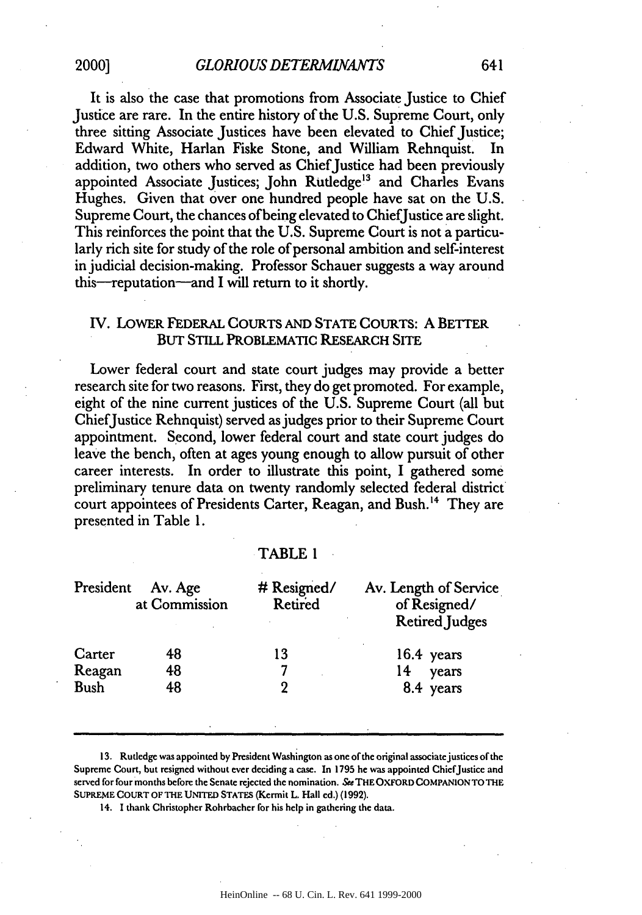It is also the case that promotions from Associate Justice to Chief Justice are rare. In the entire history of the U.S. Supreme Court, only three sitting Associate Justices have been elevated to Chief Justice; Edward White, Harlan Fiske Stone, and William Rehnquist. In addition, two others who served as Chief Justice had been previously appointed Associate Justices; John Rutledge<sup>13</sup> and Charles Evans Hughes. Given that over one hundred people have sat on the U.S. Supreme Court, the chances of being elevated to ChiefJustice are slight. This reinforces the point that the U.S. Supreme Court is not a particularly rich site for study of the role of personal ambition and self-interest in judicial decision-making. Professor Schauer suggests a way around this--reputation--and I will return to it shortly.

### IV. LOWER FEDERAL COURTS AND STATE COURTS: A BETTER BUT STILL PROBLEMATIC RESEARCH **SITE**

Lower federal court and state court judges may provide a better research site for two reasons. First, they do get promoted. For example, eight of the nine current justices of the U.S. Supreme Court (all but ChiefJustice Rehnquist) served as judges prior to their Supreme Court appointment. Second, lower federal court and state court judges do leave the bench, often at ages young enough to allow pursuit of other career interests. In order to illustrate this point, I gathered some preliminary tenure data on twenty randomly selected federal district court appointees of Presidents Carter, Reagan, and Bush.<sup>14</sup> They are presented in Table 1.

#### TABLE 1

| President<br>Av. Age<br>at Commission | # Resigned/<br>Retired | Av. Length of Service<br>of Resigned/<br><b>Retired Judges</b> |
|---------------------------------------|------------------------|----------------------------------------------------------------|
| 48                                    | 13                     | $16.4$ years                                                   |
| 48                                    |                        | years<br>14                                                    |
| 48                                    | 9                      | 8.4 years                                                      |
|                                       |                        |                                                                |

**13.** Rutledge was appointed **by** President Washington as one of the original associatejustices of the Supreme Court, but resigned without ever deciding a case. In 1795 he was appointed ChiefJustice and served for four months before the Senate rejected the nomination. *See* **THE** OXFORD **COMPANION** TO **THE SUPREME COURT** OF THE UNITED **STATES** (Kermit L. Hall ed.) (1992).

14. I thank Christopher Rohrbacher for his help in gathering the data.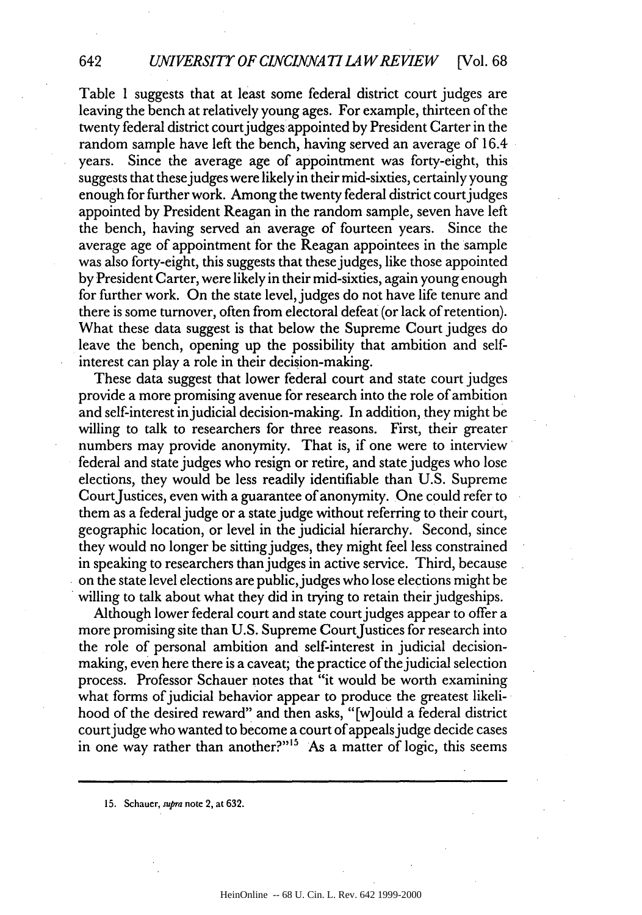642

Table 1 suggests that at least some federal district court judges are leaving the bench at relatively young ages. For example, thirteen of the twenty federal district court judges appointed by President Carter in the random sample have left the bench, having served an average of 16.4 years. Since the average age of appointment was forty-eight, this suggests that these judges were likely in their mid-sixties, certainly young enough for further work. Among the twenty federal district court judges appointed by President Reagan in the random sample, seven have left the bench, having served an average of fourteen years. Since the average age of appointment for the Reagan appointees in the sample was also forty-eight, this suggests that these judges, like those appointed by President Carter, were likely in their mid-sixties, again young enough for further work. On the state level, judges do not have life tenure and there is some turnover, often from electoral defeat (or lack of retention). What these data suggest is that below the Supreme Court judges do leave the bench, opening up the possibility that ambition and selfinterest can play a role in their decision-making.

These data suggest that lower federal court and state court judges provide a more promising avenue for research into the role of ambition and self-interest in judicial decision-making. In addition, they might be willing to talk to researchers for three reasons. First, their greater numbers may provide anonymity. That is, if one were to interview federal and state judges who resign or retire, and state judges who lose elections, they would be less readily identifiable than U.S. Supreme CourtJustices, even with a guarantee of anonymity. One could refer to them as a federal judge or a state judge without referring to their court, geographic location, or level in the judicial hierarchy. Second, since they would no longer be sitting judges, they might feel less constrained in speaking to researchers than judges in active service. Third, because on the state level elections are public, judges who lose elections might be willing to talk about what they did in trying to retain their judgeships.

Although lower federal court and state court judges appear to offer a more promising site than U.S. Supreme Court Justices for research into the role of personal ambition and self-interest in judicial decisionmaking, even here there is a caveat; the practice of the judicial selection process. Professor Schauer notes that "it would be worth examining what forms of judicial behavior appear to produce the greatest likelihood of the desired reward" and then asks, "[w] ould a federal district court judge who wanted to become a court of appeals judge decide cases in one way rather than another?"<sup>15</sup> As a matter of logic, this seems

**15.** Schauer, *supra* note 2, at **632.**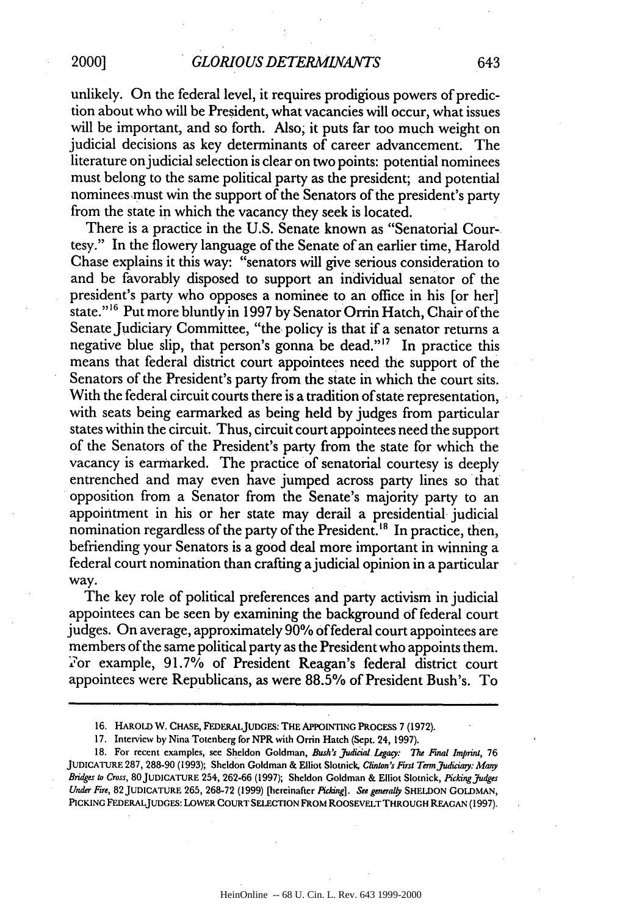unlikely. On the federal level, it requires prodigious powers of prediction about who will be President, what vacancies will occur, what issues will be important, and so forth. Also; it puts far too much weight on judicial decisions as key determinants of career advancement. The literature onjudicial selection is clear on two points: potential nominees must belong to the same political party as the president; and potential nomineesmust win the support of the Senators of the president's party from the state in which the vacancy they seek is located.

There is a practice in the U.S. Senate known as "Senatorial Courtesy." In the flowery language of the Senate of an earlier time, Harold Chase explains it this way: "senators will give serious consideration to and be favorably disposed to support an individual senator of the president's party who opposes a nominee to an office in his [or her] state."<sup>16</sup> Put more bluntly in 1997 by Senator Orrin Hatch, Chair of the Senate Judiciary Committee, "the policy is that if a senator returns a negative blue slip, that person's gonna be dead."" In practice this means that federal district court appointees need the support of the Senators of the President's party from the state in which the court sits. With the federal circuit courts there is a tradition of state representation, with seats being earmarked as being held by judges from particular states within the circuit. Thus, circuit court appointees need the support of the Senators of the President's party from the state for which the vacancy is earmarked. The practice of senatorial courtesy is deeply entrenched and may even have jumped across party lines so that opposition from a Senator from the Senate's majority party to an appointment in his or her state may derail a presidential judicial nomination regardless of the party of the President.<sup>18</sup> In practice, then, befriending your Senators is a good deal more important in winning a federal court nomination than crafting a judicial opinion in a particular way.

The key role of political preferences and party activism in judicial appointees can be seen by examining the background of federal court judges. On average, approximately **90%** offederal court appointees are members of the same political party as the President who appoints them. For example, 91.7% of President Reagan's federal district court appointees were Republicans, as were 88.5% of President Bush's. To

**17.** Interview by Nina Totenberg for NPR with Orrin Hatch (Sept. 24, **1997).**

**18.** For recent examples, see Sheldon Goldman, *Bush's judicial Lgacy: The Final Imprint,* **76 JUDICATURE** 287, **288-90 (1993);** Sheldon Goldman **&** Elliot Slotnick, *Clinton's First* **Term** *Judiis: Many Bridges to Cross,* **80JUDICATURE** 254, **262-66 (1997);** Sheldon Goldman & Elliot Slotnick, *Pickingjudges Under Fire,* **82 JUDICATURE 265,** 268-72 (1999) [hereinafter Picking]. *See generatly* **SHELDON GOLDMAN,** PICKING FEDERALJUDGEs: LOWER **COURT** SELECTION FROM ROOSEVELT THROUGH **REAGAN (1997).**

<sup>16.</sup> **HAROLD** W. CHASE, **FEDERALJUDGEs: THE APPOINTING PROCESS 7 (1972).**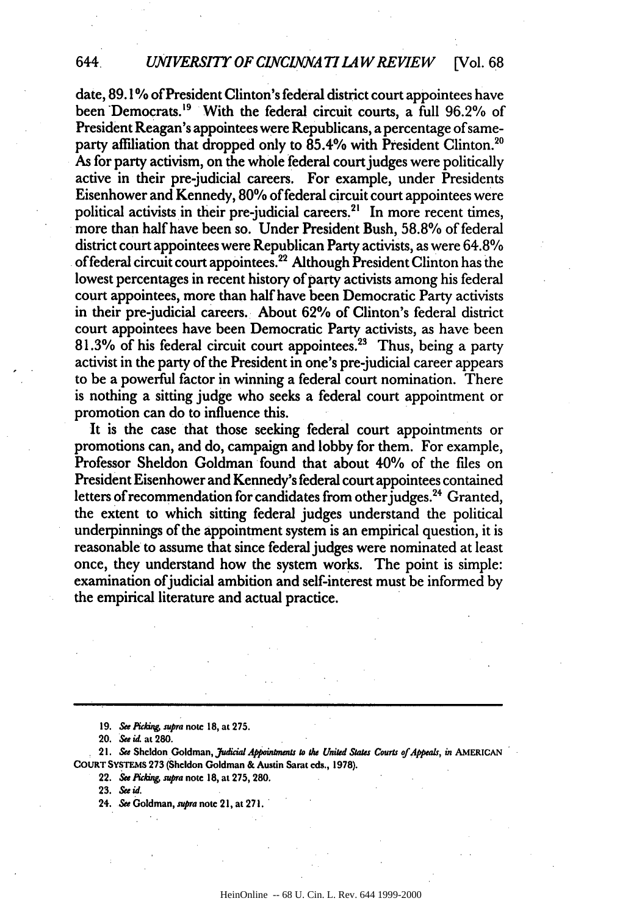#### *UNIVERSITY OF CINCINNATI LAW REVIEW* [Vol. 68] 644,

date, 89.1% of President Clinton's federal district court appointees have been Democrats.<sup>19</sup> With the federal circuit courts, a full 96.2% of President Reagan's appointees were Republicans, a percentage of sameparty affiliation that dropped only to 85.4% with President Clinton.<sup>21</sup> As for party activism, on the whole federal court judges were politically active in their pre-judicial careers. For example, under Presidents Eisenhower and Kennedy, **80%** of federal circuit court appointees were political activists in their pre-judicial careers.<sup>21</sup> In more recent times, more than half have been so. Under President Bush, 58.8% of federal  ${\rm district}$  court appointees were  ${\rm Republican}$   ${\rm Party}$  activists, as were  $64.8\%$ of federal circuit court appointees.22 Although President Clinton has the lowest percentages in recent history of party activists among his federal court appointees, more than half have been Democratic Party activists in their pre-judicial careers. About **<sup>6</sup> 2%** of Clinton's federal district court appointees have been Democratic Party activists, as have been **81.3%** of his federal circuit court appointees.23 Thus, being a party activist in the party of the President in one's pre-judicial career appears to be a powerful factor in winning a federal court nomination. There is nothing a sitting judge who seeks a federal court appointment or promotion can do to influence this.

It is the case that those seeking federal court appointments or promotions can, and do, campaign and lobby for them. For example, Professor Sheldon Goldman found that about 40% of the files on President Eisenhower and Kennedy's federal court appointees contained letters of recommendation for candidates from other judges.<sup>24</sup> Granted, the extent to which sitting federal judges understand the political underpinnings of the appointment system is an empirical question, it is reasonable to assume that since federal judges were nominated at least once, they understand how the system works. The point is simple: examination ofjudicial ambition and self-interest must be informed **by** the empirical literature and actual practice.

**19. SeePiddn, supra note 18, at 275.**

21. See Sheldon Goldman, *Judicial Appointments to the United States Courts of Appeals, in AMERICAN* **COURT SYSTEMS 273 (Sheldon Goldman & Austin Sarat cds., 1978).**

**22. Se PAi** *supra* **note 18, at 275, 280.**

**23. See** *id.*

**24. Se Goldman, nupra note 21, at 27!.**

**<sup>20.</sup> See id at 280.**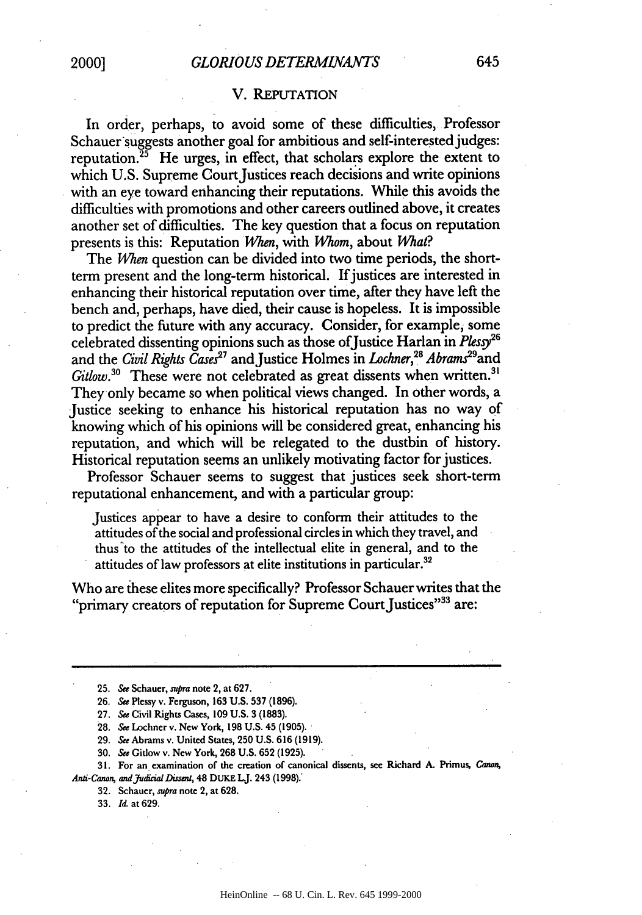#### V. REPUTATION

In order, perhaps, to avoid some of these difficulties, Professor Schauer suggests another goal for ambitious and self-interested judges: reputation.<sup>25</sup> He urges, in effect, that scholars explore the extent to which U.S. Supreme Court Justices reach decisions and write opinions with an eye toward enhancing their reputations. While this avoids the difficulties with promotions and other careers outlined above, it creates another set of difficulties. The key question that a focus on reputation presents is this: Reputation Mhen, with *Whom,* about *What?*

The *When* question can be divided into two time periods, the shortterm present and the long-term historical. If justices are interested in enhancing their historical reputation over time, after they have left the bench and, perhaps, have died, their cause is hopeless. It is impossible to predict the future with any accuracy. Consider, for example, some celebrated dissenting opinions such as those ofJustice Harlan in *Plessy26* and the *Civil Rights Cases*<sup>27</sup> and Justice Holmes in *Lochner*,<sup>28</sup> Abrams<sup>29</sup> and *Gitlow.3°* These were not celebrated as great dissents when written.3' They only became so when political views changed. In other words, a Justice seeking to enhance his historical reputation has no way of knowing which of his opinions will be considered great, enhancing his reputation, and which will be relegated to the dustbin of history. Historical reputation seems an unlikely motivating factor for justices.

Professor Schauer seems to suggest that justices seek short-term reputational enhancement, and with a particular group:

Justices appear to have a desire to conform their attitudes to the attitudes of the social and professional circles in which they travel, and thus'to the attitudes of the intellectual elite in general, and to the attitudes of law professors at elite institutions in particular.<sup>32</sup>

Who are these elites more specifically? Professor Schauer writes that the "primary creators of reputation for Supreme Court Justices"<sup>33</sup> are:

**25. See** Schauer, *supra* note 2, at **627.**

**26. S&e** Plessy **v.** Ferguson, **163 U.S. 537 (1896).**

**27.** *See* **Civil** Rights Cases, **109 U.S. 3 (1883).**

**28.** See **Lochner v. New York, 198 U.S. 45 (1905).**

**29.** *See* **Abrams v. United States, 250 U.S. 616 (1919).**

**30.** See **Gitlow v. New York, 268 U.S. 652 (1925).**

**31. For an examination of the creation of canonical dissents, see Richard A. Primus, Canon,**

*Anti-Canon, andjudka/Dissnt,* **48 DuKE LJ.** 243 **(1998).**

**32.** Schauer, *supra* **note 2, at 628.**

**33.** *Id.* at **629.**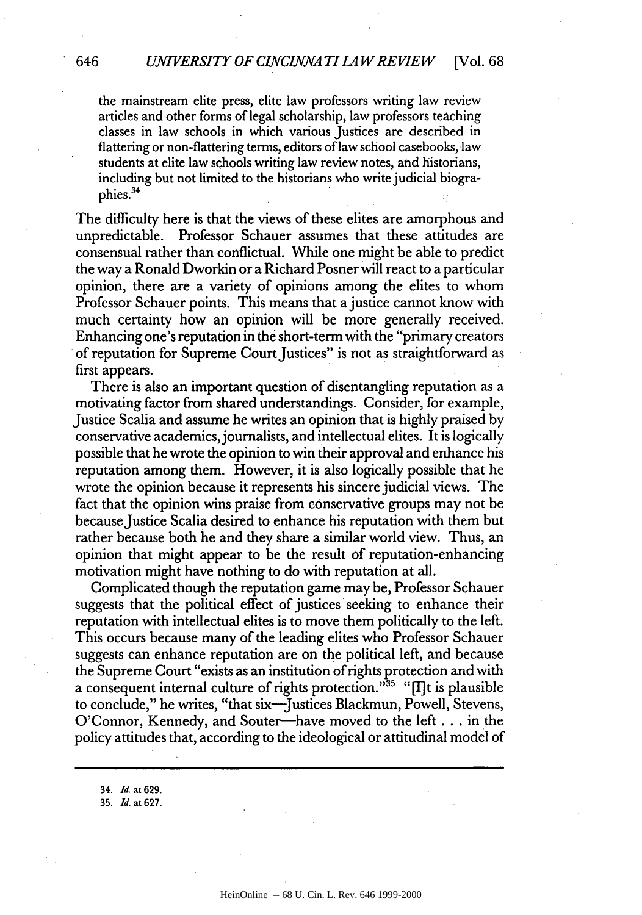the mainstream elite press, elite law professors writing law review articles and other forms of legal scholarship, law professors teaching classes in law schools in which various Justices are described in flattering or non-flattering terms, editors of law school casebooks, law students at elite law schools writing law review notes, and historians, including but not limited to the historians who write judicial biographies.34

The difficulty here is that the views of these elites are amorphous and unpredictable. Professor Schauer assumes that these attitudes are consensual rather than conflictual. While one might be able to predict the way a Ronald Dworkin or a Richard Posner will react to a particular opinion, there are a variety of opinions among the elites to whom Professor Schauer points. This means that a justice cannot know with much certainty how an opinion will be more generally received Enhancing one's reputation in the short-term with the "primary creators of reputation for Supreme Court Justices" is not as straightforward as first appears.

There is also an important question of disentangling reputation as a motivating factor from shared understandings. Consider, for example, Justice Scalia and assume he writes an opinion that is highly praised by conservative academics,journalists, and intellectual elites. It is logically possible that he wrote the opinion to win their approval and enhance his reputation among them. However, it is also logically possible that he wrote the opinion because it represents his sincere judicial views. The fact that the opinion wins praise from conservative groups may not be because Justice Scalia desired to enhance his reputation with them but rather because both he and they share a similar world view. Thus, an opinion that might appear to be the result of reputation-enhancing motivation might have nothing to do with reputation at all.

Complicated though the reputation game may be, Professor Schauer suggests that the political effect of justices'seeking to enhance their reputation with intellectual elites is to move them politically to the left. This occurs because many of the leading elites who Professor Schauer suggests can enhance reputation are on the political left, and because the Supreme Court "exists as an institution of rights protection and with a consequent internal culture of rights protection." $35$  "The is plausible to conclude," he writes, "that six-Justices Blackmun, Powell, Stevens, O'Connor, Kennedy, and Souter—have moved to the left... in the policy attitudes that, according to the ideological or attitudinal model of

34. *Id.* at **629.**

35. *Id.* at **627.**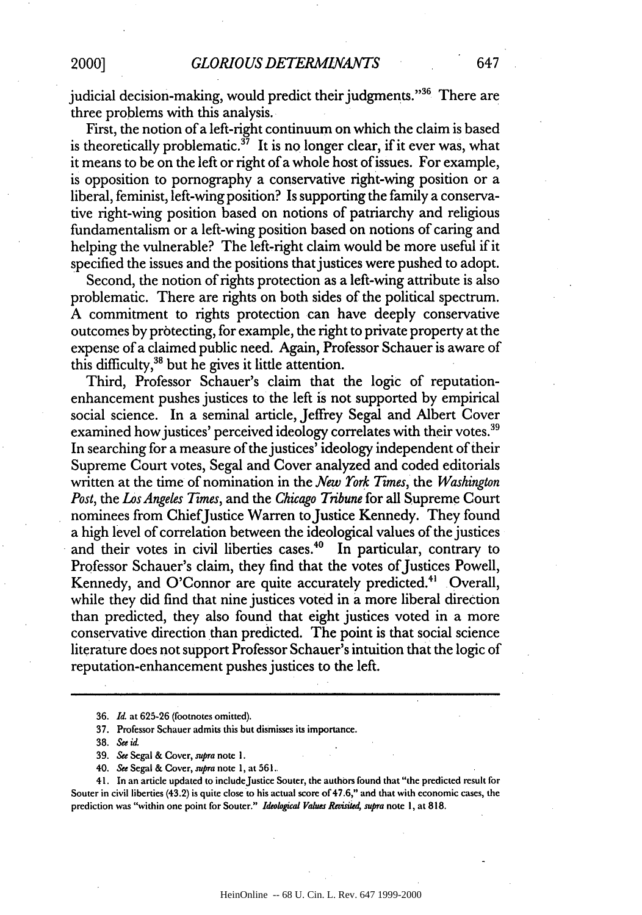judicial decision-making, would predict their judgments."36 There are three problems with this analysis.

First, the notion of a left-right continuum on which the claim is based is theoretically problematic.<sup>37</sup> It is no longer clear, if it ever was, what it means to be on the left or right of a whole host of issues. For example, is opposition to pornography a conservative right-wing position or a liberal, feminist, left-wing position? Is supporting the family a conservative right-wing position based on notions of patriarchy and religious fundamentalism or a left-wing position based on notions of caring and helping the vulnerable? The left-right claim would be more useful if it specified the issues and the positions that justices were pushed to adopt.

Second, the notion of rights protection as a left-wing attribute is also problematic. There are rights on both sides of the political spectrum. A commitment to rights protection can have deeply conservative outcomes by protecting, for example, the right to private property at the expense of a claimed public need. Again, Professor Schauer is aware of this difficulty,  $38$  but he gives it little attention.

Third, Professor Schauer's claim that the logic of reputationenhancement pushes justices to the left is not supported by empirical social science. In a seminal article, Jeffrey Segal and Albert Cover examined how justices' perceived ideology correlates with their votes.<sup>39</sup> In searching for a measure of the justices' ideology independent of their Supreme Court votes, Segal and Cover analyzed and coded editorials written at the time of nomination in the *New York Times*, the *Washington Post, the Los Angeles Times,* and the *Chicago Tribune* for all Supreme Court nominees from ChiefJustice Warren to Justice Kennedy. They found a high level of correlation between the ideological values of the justices and their votes in civil liberties cases.<sup>40</sup> In particular, contrary to Professor Schauer's claim, they find that the votes of Justices Powell, Kennedy, and O'Connor are quite accurately predicted.<sup>41</sup> Overall, while they did find that nine justices voted in a more liberal direction than predicted, they also found that eight justices voted in a more conservative direction than predicted. The point is that social science literature does not support Professor Schauer's intuition that the logic of reputation-enhancement pushes justices to the left.

41. In an article updated to include Justice Souter, the authors found that "the predicted result for Souter in civil liberties (43.2) is quite close to his actual score of 47.6," and that **with** economic cases, the prediction was "within one point for Souter." *Ideologial Values Reviite4 supra* note I, at **818.**

<sup>36.</sup> *Id.* at 625-26 (footnotes omitted).

<sup>37.</sup> Professor Schauer admits this but dismisses its importance.

<sup>38.</sup> *Seeid*

<sup>39.</sup> *See* Segal & Cover, supra note **1.**

<sup>40.</sup> *See* Segal & Cover, *supra* note **1,** at **561.**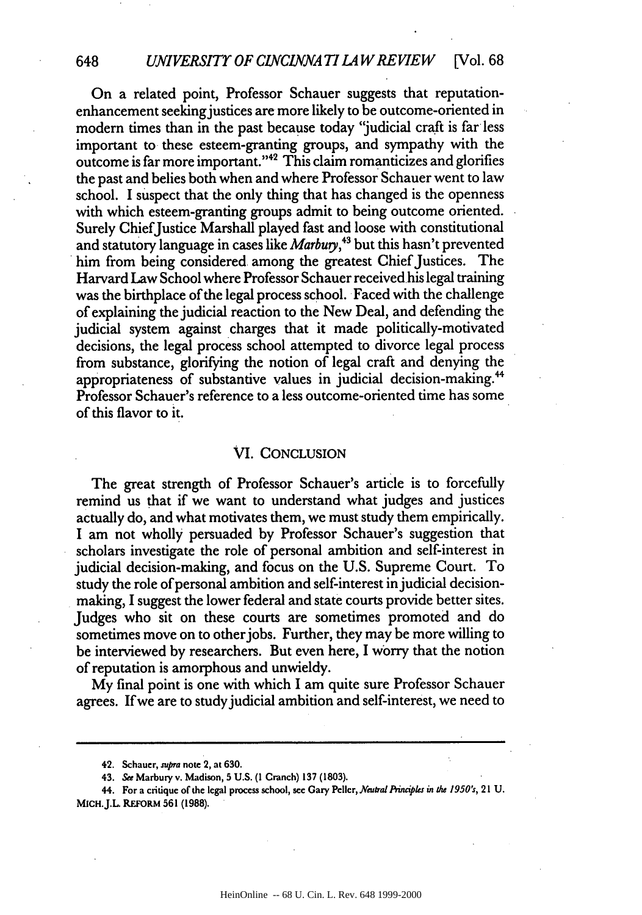#### *UNIVERSITY OF CINCINNATI LAW REVIEW* [Vol. 68]

648

On a related point, Professor Schauer suggests that reputationenhancement seeking justices are more likely to be outcome-oriented in modern times than in the past because today "judicial craft is far less important to these esteem-granting groups, and sympathy with the outcome is far more important."42 This claim romanticizes and glorifies the past and belies both when and where Professor Schauer went to law school. I suspect that the only thing that has changed is the openness with which esteem-granting groups admit to being outcome oriented. Surely Chief'Justice Marshall played fast and loose with constitutional and statutory language in cases like *Marbuy,43* but this hasn't prevented him from being considered among the greatest Chief Justices. The Harvard Law School where Professor Schauer receivedhis legal training was the birthplace of the legal process school. Faced with the challenge of explaining the judicial reaction to the New Deal, and defending the judicial system against charges that it made politically-motivated decisions, the legal process school attempted to divorce legal process from substance, glorifying the notion of legal craft and denying the appropriateness of substantive values in judicial decision-making." Professor Schauer's reference to a less outcome-oriented time has some of this flavor to it.

#### VI. CONCLUSION

The great strength of Professor Schauer's article is to forcefully remind us that if we want to understand what judges and justices actually do, and what motivates them, we must study them empirically. I am not wholly persuaded by Professor Schauer's suggestion that scholars investigate the role of personal ambition and self-interest in judicial decision-making, and focus on the U.S. Supreme Court. To study the role of personal ambition and self-interest in judicial decisionmaking, I suggest the lower federal and state courts provide better sites. Judges who sit on these courts are sometimes promoted and do sometimes move on to other jobs. Further, they may be more willing to be interviewed by researchers. But even here, I worry that the notion of reputation is amorphous and unwieldy.

My final point is one with which I am quite sure Professor Schauer agrees. If we are to study judicial ambition and self-interest, we need to

**<sup>42.</sup> Schauer,** supra **note 2, at 630.**

**<sup>43.</sup>** See **Marbury v. Madison, 5 U.S. (1 Cranch) 137 (1803).**

<sup>44.</sup> For a critique of the legal process school, see Gary Peller, Neutral Principles in the 1950's, 21 U. MICH.J.L REFORM **561 (1988).**